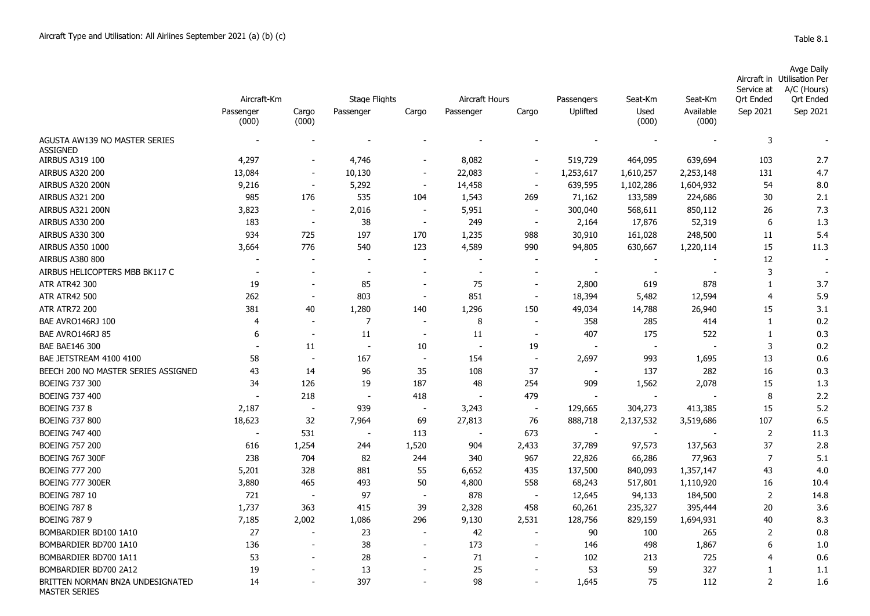## Aircraft in Avge Daily Utilisation Per

|                                                          | Aircraft-Km              |                          | <b>Stage Flights</b>     |                          | Aircraft Hours |                          | Passengers | Seat-Km                  | Seat-Km            | Service at<br><b>Ort Ended</b> | A/C (Hours)<br><b>Ort Ended</b> |
|----------------------------------------------------------|--------------------------|--------------------------|--------------------------|--------------------------|----------------|--------------------------|------------|--------------------------|--------------------|--------------------------------|---------------------------------|
|                                                          | Passenger<br>(000)       | Cargo<br>(000)           | Passenger                | Cargo                    | Passenger      | Cargo                    | Uplifted   | Used<br>(000)            | Available<br>(000) | Sep 2021                       | Sep 2021                        |
| AGUSTA AW139 NO MASTER SERIES<br><b>ASSIGNED</b>         |                          |                          |                          |                          |                |                          |            |                          |                    | 3                              |                                 |
| AIRBUS A319 100                                          | 4,297                    | $\overline{a}$           | 4,746                    |                          | 8,082          | $\blacksquare$           | 519,729    | 464,095                  | 639,694            | 103                            | 2.7                             |
| <b>AIRBUS A320 200</b>                                   | 13,084                   | $\overline{\phantom{a}}$ | 10,130                   | $\overline{\phantom{0}}$ | 22,083         | $\overline{\phantom{a}}$ | 1,253,617  | 1,610,257                | 2,253,148          | 131                            | 4.7                             |
| AIRBUS A320 200N                                         | 9,216                    | $\overline{\phantom{a}}$ | 5,292                    | $\overline{\phantom{a}}$ | 14,458         | $\sim$                   | 639,595    | 1,102,286                | 1,604,932          | 54                             | 8.0                             |
| <b>AIRBUS A321 200</b>                                   | 985                      | 176                      | 535                      | 104                      | 1,543          | 269                      | 71,162     | 133,589                  | 224,686            | 30                             | 2.1                             |
| AIRBUS A321 200N                                         | 3,823                    | $\overline{\phantom{a}}$ | 2,016                    | $\overline{\phantom{a}}$ | 5,951          | $\overline{\phantom{a}}$ | 300,040    | 568,611                  | 850,112            | 26                             | 7.3                             |
| <b>AIRBUS A330 200</b>                                   | 183                      | $\overline{\phantom{a}}$ | 38                       | $\overline{\phantom{a}}$ | 249            | $\overline{\phantom{a}}$ | 2,164      | 17,876                   | 52,319             | 6                              | 1.3                             |
| <b>AIRBUS A330 300</b>                                   | 934                      | 725                      | 197                      | 170                      | 1,235          | 988                      | 30,910     | 161,028                  | 248,500            | 11                             | 5.4                             |
| AIRBUS A350 1000                                         | 3,664                    | 776                      | 540                      | 123                      | 4,589          | 990                      | 94,805     | 630,667                  | 1,220,114          | 15                             | 11.3                            |
| <b>AIRBUS A380 800</b>                                   |                          |                          | $\overline{\phantom{0}}$ | $\blacksquare$           |                |                          |            |                          |                    | 12                             |                                 |
| AIRBUS HELICOPTERS MBB BK117 C                           | $\overline{\phantom{a}}$ | $\overline{\phantom{0}}$ | $\overline{\phantom{a}}$ | $\overline{a}$           |                | $\overline{\phantom{a}}$ |            | $\overline{\phantom{a}}$ |                    | 3                              |                                 |
| <b>ATR ATR42 300</b>                                     | 19                       | $\overline{\phantom{a}}$ | 85                       | $\overline{\phantom{a}}$ | 75             | $\overline{\phantom{a}}$ | 2,800      | 619                      | 878                | 1                              | 3.7                             |
| <b>ATR ATR42 500</b>                                     | 262                      | $\overline{\phantom{a}}$ | 803                      | $\overline{\phantom{a}}$ | 851            | $\blacksquare$           | 18,394     | 5,482                    | 12,594             | $\overline{4}$                 | 5.9                             |
| <b>ATR ATR72 200</b>                                     | 381                      | 40                       | 1,280                    | 140                      | 1,296          | 150                      | 49,034     | 14,788                   | 26,940             | 15                             | 3.1                             |
| BAE AVRO146RJ 100                                        | 4                        | $\overline{\phantom{a}}$ | 7                        | $\overline{\phantom{a}}$ | 8              | $\overline{\phantom{a}}$ | 358        | 285                      | 414                | $\mathbf{1}$                   | 0.2                             |
| BAE AVRO146RJ 85                                         | 6                        | $\overline{\phantom{a}}$ | 11                       | $\sim$                   | 11             | $\overline{\phantom{a}}$ | 407        | 175                      | 522                | $\mathbf{1}$                   | 0.3                             |
| <b>BAE BAE146 300</b>                                    |                          | 11                       | $\overline{\phantom{a}}$ | 10                       |                | 19                       |            | $\overline{\phantom{a}}$ |                    | $\overline{3}$                 | 0.2                             |
| BAE JETSTREAM 4100 4100                                  | 58                       | $\overline{\phantom{a}}$ | 167                      | $\overline{\phantom{a}}$ | 154            | ÷,                       | 2,697      | 993                      | 1,695              | 13                             | 0.6                             |
| BEECH 200 NO MASTER SERIES ASSIGNED                      | 43                       | 14                       | 96                       | 35                       | 108            | 37                       |            | 137                      | 282                | 16                             | 0.3                             |
| <b>BOEING 737 300</b>                                    | 34                       | 126                      | 19                       | 187                      | 48             | 254                      | 909        | 1,562                    | 2,078              | 15                             | 1.3                             |
| <b>BOEING 737 400</b>                                    |                          | 218                      |                          | 418                      |                | 479                      |            |                          |                    | 8                              | 2.2                             |
| <b>BOEING 737 8</b>                                      | 2,187                    | $\overline{\phantom{a}}$ | 939                      | $\overline{\phantom{a}}$ | 3,243          | $\overline{\phantom{a}}$ | 129,665    | 304,273                  | 413,385            | 15                             | 5.2                             |
| <b>BOEING 737 800</b>                                    | 18,623                   | 32                       | 7,964                    | 69                       | 27,813         | 76                       | 888,718    | 2,137,532                | 3,519,686          | 107                            | 6.5                             |
| <b>BOEING 747 400</b>                                    |                          | 531                      | $\overline{\phantom{a}}$ | 113                      |                | 673                      |            |                          |                    | 2                              | 11.3                            |
| <b>BOEING 757 200</b>                                    | 616                      | 1,254                    | 244                      | 1,520                    | 904            | 2,433                    | 37,789     | 97,573                   | 137,563            | 37                             | 2.8                             |
| <b>BOEING 767 300F</b>                                   | 238                      | 704                      | 82                       | 244                      | 340            | 967                      | 22,826     | 66,286                   | 77,963             | $\overline{7}$                 | 5.1                             |
| <b>BOEING 777 200</b>                                    | 5,201                    | 328                      | 881                      | 55                       | 6,652          | 435                      | 137,500    | 840,093                  | 1,357,147          | 43                             | 4.0                             |
| <b>BOEING 777 300ER</b>                                  | 3,880                    | 465                      | 493                      | 50                       | 4,800          | 558                      | 68,243     | 517,801                  | 1,110,920          | 16                             | 10.4                            |
| <b>BOEING 787 10</b>                                     | 721                      | $\overline{\phantom{a}}$ | 97                       | $\overline{\phantom{a}}$ | 878            | $\overline{\phantom{a}}$ | 12,645     | 94,133                   | 184,500            | 2                              | 14.8                            |
| <b>BOEING 787 8</b>                                      | 1,737                    | 363                      | 415                      | 39                       | 2,328          | 458                      | 60,261     | 235,327                  | 395,444            | 20                             | 3.6                             |
| <b>BOEING 787 9</b>                                      | 7,185                    | 2,002                    | 1,086                    | 296                      | 9,130          | 2,531                    | 128,756    | 829,159                  | 1,694,931          | 40                             | 8.3                             |
| BOMBARDIER BD100 1A10                                    | 27                       | $\overline{\phantom{a}}$ | 23                       | $\overline{\phantom{a}}$ | 42             | $\overline{\phantom{a}}$ | 90         | 100                      | 265                | 2                              | 0.8                             |
| BOMBARDIER BD700 1A10                                    | 136                      | $\overline{a}$           | 38                       | $\blacksquare$           | 173            | $\blacksquare$           | 146        | 498                      | 1,867              | 6                              | 1.0                             |
| BOMBARDIER BD700 1A11                                    | 53                       |                          | 28                       |                          | 71             |                          | 102        | 213                      | 725                | 4                              | 0.6                             |
| BOMBARDIER BD700 2A12                                    | 19                       |                          | 13                       |                          | 25             |                          | 53         | 59                       | 327                | 1                              | 1.1                             |
| BRITTEN NORMAN BN2A UNDESIGNATED<br><b>MASTER SERIES</b> | 14                       |                          | 397                      |                          | 98             |                          | 1,645      | 75                       | 112                | $\overline{2}$                 | 1.6                             |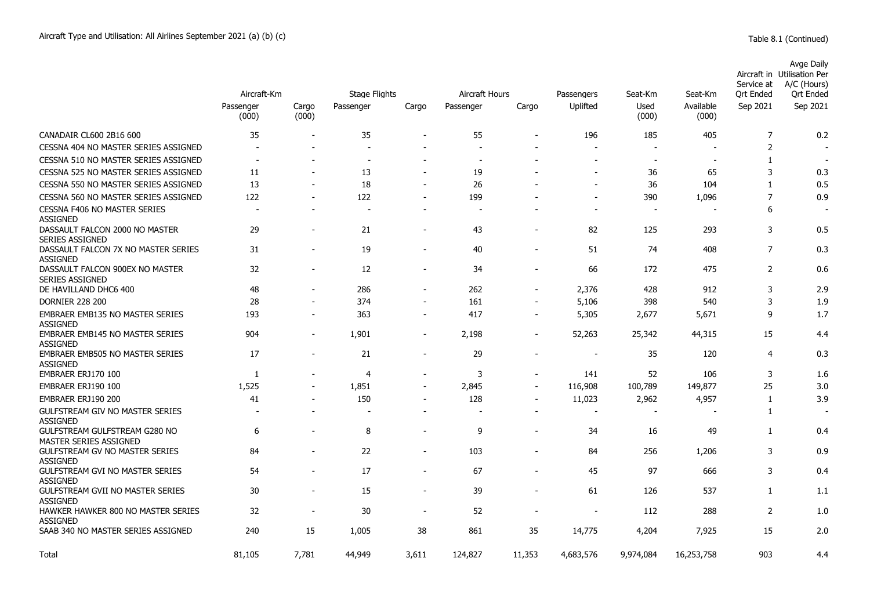|                                                            | Aircraft-Km              |                          | <b>Stage Flights</b>     |                          | Aircraft Hours |                          |                          | Seat-Km                  | Seat-Km            | Service at<br>Ort Ended | Avge Daily<br>Aircraft in Utilisation Per<br>A/C (Hours)<br>Ort Ended |
|------------------------------------------------------------|--------------------------|--------------------------|--------------------------|--------------------------|----------------|--------------------------|--------------------------|--------------------------|--------------------|-------------------------|-----------------------------------------------------------------------|
|                                                            | Passenger<br>(000)       | Cargo<br>(000)           | Passenger                | Cargo                    | Passenger      | Cargo                    | Passengers<br>Uplifted   | Used<br>(000)            | Available<br>(000) | Sep 2021                | Sep 2021                                                              |
| CANADAIR CL600 2B16 600                                    | 35                       |                          | 35                       | $\sim$                   | 55             |                          | 196                      | 185                      | 405                | 7                       | 0.2                                                                   |
| CESSNA 404 NO MASTER SERIES ASSIGNED                       | $\overline{\phantom{a}}$ |                          |                          |                          |                |                          | $\overline{\phantom{a}}$ |                          |                    | 2                       |                                                                       |
| CESSNA 510 NO MASTER SERIES ASSIGNED                       |                          |                          |                          |                          |                |                          |                          |                          |                    | $\mathbf{1}$            |                                                                       |
| CESSNA 525 NO MASTER SERIES ASSIGNED                       | 11                       |                          | 13                       |                          | 19             |                          | $\blacksquare$           | 36                       | 65                 | 3                       | 0.3                                                                   |
| CESSNA 550 NO MASTER SERIES ASSIGNED                       | 13                       |                          | 18                       | $\blacksquare$           | 26             |                          | $\overline{\phantom{a}}$ | 36                       | 104                | $\mathbf{1}$            | 0.5                                                                   |
| CESSNA 560 NO MASTER SERIES ASSIGNED                       | 122                      | $\blacksquare$           | 122                      | $\overline{\phantom{a}}$ | 199            |                          | $\overline{a}$           | 390                      | 1,096              | $\overline{7}$          | 0.9                                                                   |
| <b>CESSNA F406 NO MASTER SERIES</b><br><b>ASSIGNED</b>     |                          |                          | $\overline{\phantom{a}}$ | $\overline{\phantom{a}}$ |                |                          | $\blacksquare$           | $\overline{\phantom{a}}$ |                    | 6                       |                                                                       |
| DASSAULT FALCON 2000 NO MASTER<br><b>SERIES ASSIGNED</b>   | 29                       | $\overline{\phantom{0}}$ | 21                       | $\overline{\phantom{a}}$ | 43             | $\overline{\phantom{a}}$ | 82                       | 125                      | 293                | 3                       | 0.5                                                                   |
| DASSAULT FALCON 7X NO MASTER SERIES<br><b>ASSIGNED</b>     | 31                       | $\overline{\phantom{a}}$ | 19                       | $\overline{\phantom{a}}$ | 40             | $\overline{\phantom{a}}$ | 51                       | 74                       | 408                | $\overline{7}$          | 0.3                                                                   |
| DASSAULT FALCON 900EX NO MASTER<br><b>SERIES ASSIGNED</b>  | 32                       | $\blacksquare$           | 12                       | $\overline{\phantom{a}}$ | 34             | $\overline{\phantom{a}}$ | 66                       | 172                      | 475                | 2                       | 0.6                                                                   |
| DE HAVILLAND DHC6 400                                      | 48                       |                          | 286                      | $\overline{\phantom{a}}$ | 262            | $\overline{\phantom{a}}$ | 2,376                    | 428                      | 912                | 3                       | 2.9                                                                   |
| <b>DORNIER 228 200</b>                                     | 28                       | $\blacksquare$           | 374                      |                          | 161            | $\sim$                   | 5,106                    | 398                      | 540                | 3                       | 1.9                                                                   |
| EMBRAER EMB135 NO MASTER SERIES<br><b>ASSIGNED</b>         | 193                      | $\blacksquare$           | 363                      | $\overline{\phantom{a}}$ | 417            | $\overline{\phantom{a}}$ | 5,305                    | 2,677                    | 5,671              | 9                       | 1.7                                                                   |
| <b>EMBRAER EMB145 NO MASTER SERIES</b><br><b>ASSIGNED</b>  | 904                      | $\overline{\phantom{a}}$ | 1,901                    | $\overline{\phantom{a}}$ | 2,198          | $\overline{\phantom{a}}$ | 52,263                   | 25,342                   | 44,315             | 15                      | 4.4                                                                   |
| <b>EMBRAER EMB505 NO MASTER SERIES</b><br><b>ASSIGNED</b>  | 17                       |                          | 21                       | $\blacksquare$           | 29             |                          |                          | 35                       | 120                | 4                       | 0.3                                                                   |
| EMBRAER ERJ170 100                                         | 1                        | $\overline{\phantom{0}}$ | $\overline{4}$           | $\overline{\phantom{a}}$ | 3              | $\overline{\phantom{a}}$ | 141                      | 52                       | 106                | 3                       | 1.6                                                                   |
| EMBRAER ERJ190 100                                         | 1,525                    |                          | 1,851                    | $\blacksquare$           | 2,845          |                          | 116,908                  | 100,789                  | 149,877            | 25                      | 3.0                                                                   |
| EMBRAER ERJ190 200                                         | 41                       |                          | 150                      | $\blacksquare$           | 128            | $\blacksquare$           | 11,023                   | 2,962                    | 4,957              | 1                       | 3.9                                                                   |
| <b>GULFSTREAM GIV NO MASTER SERIES</b><br><b>ASSIGNED</b>  |                          | $\overline{\phantom{a}}$ |                          | $\blacksquare$           |                | $\overline{\phantom{a}}$ | $\overline{a}$           | $\overline{\phantom{a}}$ |                    | 1                       |                                                                       |
| GULFSTREAM GULFSTREAM G280 NO<br>MASTER SERIES ASSIGNED    | 6                        |                          | 8                        | $\overline{\phantom{a}}$ | 9              | $\sim$                   | 34                       | 16                       | 49                 | 1                       | 0.4                                                                   |
| <b>GULFSTREAM GV NO MASTER SERIES</b><br><b>ASSIGNED</b>   | 84                       | $\blacksquare$           | 22                       | $\overline{\phantom{a}}$ | 103            | $\overline{\phantom{a}}$ | 84                       | 256                      | 1,206              | 3                       | 0.9                                                                   |
| <b>GULFSTREAM GVI NO MASTER SERIES</b><br><b>ASSIGNED</b>  | 54                       | $\overline{\phantom{a}}$ | 17                       | $\overline{\phantom{a}}$ | 67             | $\overline{\phantom{a}}$ | 45                       | 97                       | 666                | 3                       | 0.4                                                                   |
| <b>GULFSTREAM GVII NO MASTER SERIES</b><br><b>ASSIGNED</b> | 30                       | $\overline{\phantom{a}}$ | 15                       | $\overline{\phantom{a}}$ | 39             | $\overline{\phantom{a}}$ | 61                       | 126                      | 537                | 1                       | 1.1                                                                   |
| HAWKER HAWKER 800 NO MASTER SERIES<br><b>ASSIGNED</b>      | 32                       |                          | 30                       | $\overline{\phantom{a}}$ | 52             |                          | $\overline{\phantom{a}}$ | 112                      | 288                | 2                       | 1.0                                                                   |
| SAAB 340 NO MASTER SERIES ASSIGNED                         | 240                      | 15                       | 1,005                    | 38                       | 861            | 35                       | 14,775                   | 4,204                    | 7,925              | 15                      | 2.0                                                                   |
| Total                                                      | 81.105                   | 7.781                    | 44,949                   | 3.611                    | 124,827        | 11,353                   | 4,683,576                | 9,974,084                | 16,253,758         | 903                     | 4.4                                                                   |